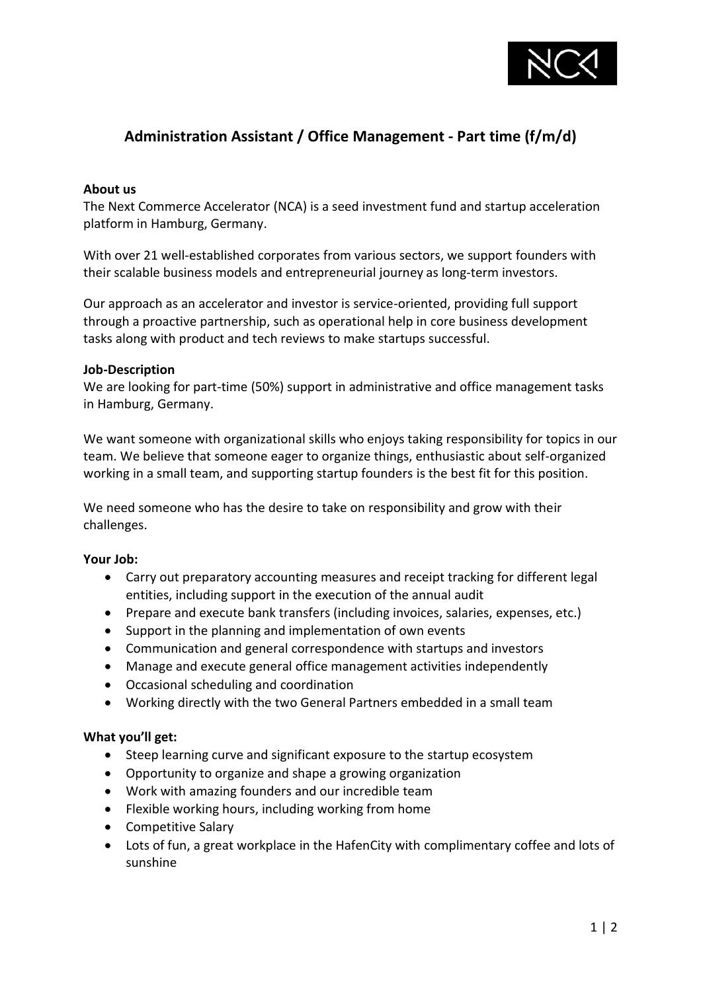

# **Administration Assistant / Office Management - Part time (f/m/d)**

#### **About us**

The Next Commerce Accelerator (NCA) is a seed investment fund and startup acceleration platform in Hamburg, Germany.

With over 21 well-established corporates from various sectors, we support founders with their scalable business models and entrepreneurial journey as long-term investors.

Our approach as an accelerator and investor is service-oriented, providing full support through a proactive partnership, such as operational help in core business development tasks along with product and tech reviews to make startups successful.

#### **Job-Description**

We are looking for part-time (50%) support in administrative and office management tasks in Hamburg, Germany.

We want someone with organizational skills who enjoys taking responsibility for topics in our team. We believe that someone eager to organize things, enthusiastic about self-organized working in a small team, and supporting startup founders is the best fit for this position.

We need someone who has the desire to take on responsibility and grow with their challenges.

#### **Your Job:**

- Carry out preparatory accounting measures and receipt tracking for different legal entities, including support in the execution of the annual audit
- Prepare and execute bank transfers (including invoices, salaries, expenses, etc.)
- Support in the planning and implementation of own events
- Communication and general correspondence with startups and investors
- Manage and execute general office management activities independently
- Occasional scheduling and coordination
- Working directly with the two General Partners embedded in a small team

#### **What you'll get:**

- Steep learning curve and significant exposure to the startup ecosystem
- Opportunity to organize and shape a growing organization
- Work with amazing founders and our incredible team
- Flexible working hours, including working from home
- Competitive Salary
- Lots of fun, a great workplace in the HafenCity with complimentary coffee and lots of sunshine